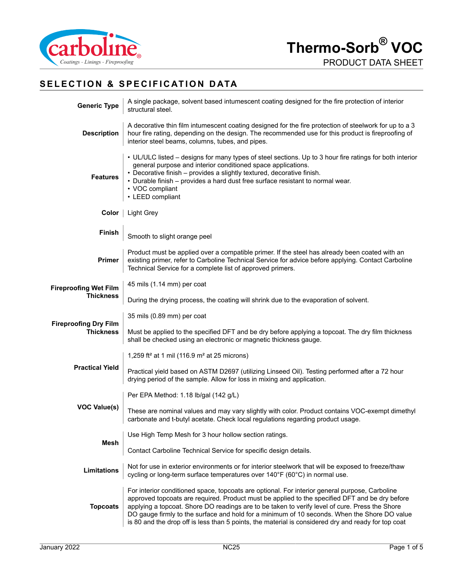

# **SELECTION & SPECIFICATION DATA**

| <b>Generic Type</b>                              | A single package, solvent based intumescent coating designed for the fire protection of interior<br>structural steel.                                                                                                                                                                                                                                                                                                                                                                                     |  |  |
|--------------------------------------------------|-----------------------------------------------------------------------------------------------------------------------------------------------------------------------------------------------------------------------------------------------------------------------------------------------------------------------------------------------------------------------------------------------------------------------------------------------------------------------------------------------------------|--|--|
| <b>Description</b>                               | A decorative thin film intumescent coating designed for the fire protection of steelwork for up to a 3<br>hour fire rating, depending on the design. The recommended use for this product is fireproofing of<br>interior steel beams, columns, tubes, and pipes.                                                                                                                                                                                                                                          |  |  |
| <b>Features</b>                                  | • UL/ULC listed – designs for many types of steel sections. Up to 3 hour fire ratings for both interior<br>general purpose and interior conditioned space applications.<br>• Decorative finish - provides a slightly textured, decorative finish.<br>• Durable finish - provides a hard dust free surface resistant to normal wear.<br>• VOC compliant<br>• LEED compliant                                                                                                                                |  |  |
|                                                  | <b>Color</b>   Light Grey                                                                                                                                                                                                                                                                                                                                                                                                                                                                                 |  |  |
| <b>Finish</b>                                    | Smooth to slight orange peel                                                                                                                                                                                                                                                                                                                                                                                                                                                                              |  |  |
| <b>Primer</b>                                    | Product must be applied over a compatible primer. If the steel has already been coated with an<br>existing primer, refer to Carboline Technical Service for advice before applying. Contact Carboline<br>Technical Service for a complete list of approved primers.                                                                                                                                                                                                                                       |  |  |
| <b>Fireproofing Wet Film</b>                     | 45 mils (1.14 mm) per coat                                                                                                                                                                                                                                                                                                                                                                                                                                                                                |  |  |
| <b>Thickness</b>                                 | During the drying process, the coating will shrink due to the evaporation of solvent.                                                                                                                                                                                                                                                                                                                                                                                                                     |  |  |
|                                                  | 35 mils (0.89 mm) per coat                                                                                                                                                                                                                                                                                                                                                                                                                                                                                |  |  |
| <b>Fireproofing Dry Film</b><br><b>Thickness</b> | Must be applied to the specified DFT and be dry before applying a topcoat. The dry film thickness<br>shall be checked using an electronic or magnetic thickness gauge.                                                                                                                                                                                                                                                                                                                                    |  |  |
|                                                  | 1,259 ft <sup>2</sup> at 1 mil (116.9 m <sup>2</sup> at 25 microns)                                                                                                                                                                                                                                                                                                                                                                                                                                       |  |  |
| <b>Practical Yield</b>                           | Practical yield based on ASTM D2697 (utilizing Linseed Oil). Testing performed after a 72 hour<br>drying period of the sample. Allow for loss in mixing and application.                                                                                                                                                                                                                                                                                                                                  |  |  |
|                                                  | Per EPA Method: 1.18 lb/gal (142 g/L)                                                                                                                                                                                                                                                                                                                                                                                                                                                                     |  |  |
| <b>VOC Value(s)</b>                              | These are nominal values and may vary slightly with color. Product contains VOC-exempt dimethyl<br>carbonate and t-butyl acetate. Check local regulations regarding product usage.                                                                                                                                                                                                                                                                                                                        |  |  |
|                                                  | Use High Temp Mesh for 3 hour hollow section ratings.                                                                                                                                                                                                                                                                                                                                                                                                                                                     |  |  |
| Mesh                                             | Contact Carboline Technical Service for specific design details.                                                                                                                                                                                                                                                                                                                                                                                                                                          |  |  |
| Limitations                                      | Not for use in exterior environments or for interior steelwork that will be exposed to freeze/thaw<br>cycling or long-term surface temperatures over 140°F (60°C) in normal use.                                                                                                                                                                                                                                                                                                                          |  |  |
| <b>Topcoats</b>                                  | For interior conditioned space, topcoats are optional. For interior general purpose, Carboline<br>approved topcoats are required. Product must be applied to the specified DFT and be dry before<br>applying a topcoat. Shore DO readings are to be taken to verify level of cure. Press the Shore<br>DO gauge firmly to the surface and hold for a minimum of 10 seconds. When the Shore DO value<br>is 80 and the drop off is less than 5 points, the material is considered dry and ready for top coat |  |  |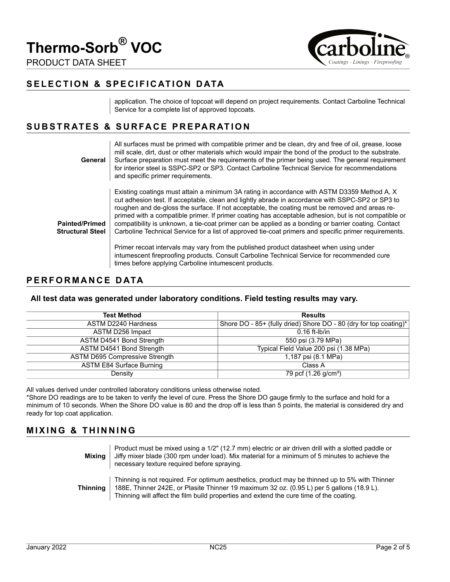**Thermo-Sorb® VOC**

PRODUCT DATA SHEET



## **SELECTION & SPECIFICATION DATA**

application. The choice of topcoat will depend on project requirements. Contact Carboline Technical Service for a complete list of approved topcoats.

## **SUBSTRATES & SURFACE PREPARATION**

#### **General** All surfaces must be primed with compatible primer and be clean, dry and free of oil, grease, loose mill scale, dirt, dust or other materials which would impair the bond of the product to the substrate. Surface preparation must meet the requirements of the primer being used. The general requirement for interior steel is SSPC-SP2 or SP3. Contact Carboline Technical Service for recommendations and specific primer requirements.

Existing coatings must attain a minimum 3A rating in accordance with ASTM D3359 Method A, X cut adhesion test. If acceptable, clean and lightly abrade in accordance with SSPC-SP2 or SP3 to roughen and de-gloss the surface. If not acceptable, the coating must be removed and areas reprimed with a compatible primer. If primer coating has acceptable adhesion, but is not compatible or compatibility is unknown, a tie-coat primer can be applied as a bonding or barrier coating. Contact Carboline Technical Service for a list of approved tie-coat primers and specific primer requirements.

Primer recoat intervals may vary from the published product datasheet when using under intumescent fireproofing products. Consult Carboline Technical Service for recommended cure times before applying Carboline intumescent products.

## **PERFORMANCE DATA**

**Painted/Primed Structural Steel**

#### **All test data was generated under laboratory conditions. Field testing results may vary.**

| <b>Test Method</b>              | <b>Results</b>                                                    |
|---------------------------------|-------------------------------------------------------------------|
| ASTM D2240 Hardness             | Shore DO - 85+ (fully dried) Shore DO - 80 (dry for top coating)* |
| ASTM D256 Impact                | $0.16$ ft-lb/in                                                   |
| ASTM D4541 Bond Strength        | 550 psi (3.79 MPa)                                                |
| ASTM D4541 Bond Strength        | Typical Field Value 200 psi (1.38 MPa)                            |
| ASTM D695 Compressive Strength  | 1,187 psi (8.1 MPa)                                               |
| <b>ASTM E84 Surface Burning</b> | Class A                                                           |
| Density                         | 79 pcf (1.26 g/cm <sup>3</sup> )                                  |

All values derived under controlled laboratory conditions unless otherwise noted.

\*Shore DO readings are to be taken to verify the level of cure. Press the Shore DO gauge firmly to the surface and hold for a minimum of 10 seconds. When the Shore DO value is 80 and the drop off is less than 5 points, the material is considered dry and ready for top coat application.

## **MIXING & THINNING**

| Mixina          | Product must be mixed using a 1/2" (12.7 mm) electric or air driven drill with a slotted paddle or<br>Jiffy mixer blade (300 rpm under load). Mix material for a minimum of 5 minutes to achieve the<br>necessary texture required before spraying.                                    |
|-----------------|----------------------------------------------------------------------------------------------------------------------------------------------------------------------------------------------------------------------------------------------------------------------------------------|
| <b>Thinning</b> | Thinning is not required. For optimum aesthetics, product may be thinned up to 5% with Thinner<br>188E, Thinner 242E, or Plasite Thinner 19 maximum 32 oz. (0.95 L) per 5 gallons (18.9 L).<br>Thinning will affect the film build properties and extend the cure time of the coating. |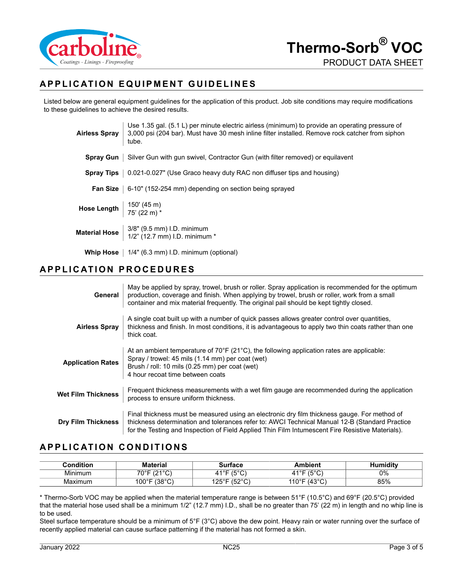

# **APPLICATION EQUIPMENT GUIDELINES**

Listed below are general equipment guidelines for the application of this product. Job site conditions may require modifications to these guidelines to achieve the desired results.

|                                                                                              | Use 1.35 gal. (5.1 L) per minute electric airless (minimum) to provide an operating pressure of<br>Airless Spray 3,000 psi (204 bar). Must have 30 mesh inline filter installed. Remove rock catcher from siphon<br>tube. |
|----------------------------------------------------------------------------------------------|---------------------------------------------------------------------------------------------------------------------------------------------------------------------------------------------------------------------------|
|                                                                                              | <b>Spray Gun</b>   Silver Gun with gun swivel, Contractor Gun (with filter removed) or equilavent                                                                                                                         |
|                                                                                              | <b>Spray Tips</b> $\vert$ 0.021-0.027" (Use Graco heavy duty RAC non diffuser tips and housing)                                                                                                                           |
|                                                                                              | <b>Fan Size</b> $\vert$ 6-10" (152-254 mm) depending on section being sprayed                                                                                                                                             |
| Hose Length $\begin{array}{ c c c } \hline 150' (45 m) \\ 75' (22 m)^* \\\hline \end{array}$ |                                                                                                                                                                                                                           |
|                                                                                              | <b>Material Hose</b> $\begin{array}{ l} 3/8$ " (9.5 mm) I.D. minimum<br><b>Material Hose</b> $\begin{array}{ l} 1/2$ " (12.7 mm) I.D. minimum *                                                                           |
|                                                                                              | <b>Whip Hose</b> $\vert$ 1/4" (6.3 mm) I.D. minimum (optional)                                                                                                                                                            |

## **APPLICATION PROCEDURES**

| General                   | May be applied by spray, trowel, brush or roller. Spray application is recommended for the optimum<br>production, coverage and finish. When applying by trowel, brush or roller, work from a small<br>container and mix material frequently. The original pail should be kept tightly closed.      |
|---------------------------|----------------------------------------------------------------------------------------------------------------------------------------------------------------------------------------------------------------------------------------------------------------------------------------------------|
| <b>Airless Spray</b>      | A single coat built up with a number of quick passes allows greater control over quantities,<br>thickness and finish. In most conditions, it is advantageous to apply two thin coats rather than one<br>thick coat.                                                                                |
| <b>Application Rates</b>  | At an ambient temperature of $70^{\circ}F(21^{\circ}C)$ , the following application rates are applicable:<br>Spray / trowel: 45 mils (1.14 mm) per coat (wet)<br>Brush / roll: 10 mils (0.25 mm) per coat (wet)<br>4 hour recoat time between coats                                                |
| <b>Wet Film Thickness</b> | Frequent thickness measurements with a wet film gauge are recommended during the application<br>process to ensure uniform thickness.                                                                                                                                                               |
| <b>Dry Film Thickness</b> | Final thickness must be measured using an electronic dry film thickness gauge. For method of<br>thickness determination and tolerances refer to: AWCI Technical Manual 12-B (Standard Practice<br>for the Testing and Inspection of Field Applied Thin Film Intumescent Fire Resistive Materials). |

## **APPLICATION CONDITIONS**

| Condition | <b>Material</b>                  | <b>Surface</b>                    | ∖mbient                    | <b>Humidity</b> |
|-----------|----------------------------------|-----------------------------------|----------------------------|-----------------|
| Minimum   | $70^{\circ}$ E (21 $^{\circ}$ C) | (0.00)<br>14 ° F<br>J.            | 140F<br>$I E^{\circ}$<br>ັ | 0%              |
| Maximum   | $(38^{\circ}C)$<br>100°F         | $(500^\circ)$<br>125°F<br>ు∠<br>◡ | (120C)<br>110°⊑<br>ັ       | 85%             |

\* Thermo-Sorb VOC may be applied when the material temperature range is between 51°F (10.5°C) and 69°F (20.5°C) provided that the material hose used shall be a minimum 1/2" (12.7 mm) I.D., shall be no greater than 75' (22 m) in length and no whip line is to be used.

Steel surface temperature should be a minimum of 5°F (3°C) above the dew point. Heavy rain or water running over the surface of recently applied material can cause surface patterning if the material has not formed a skin.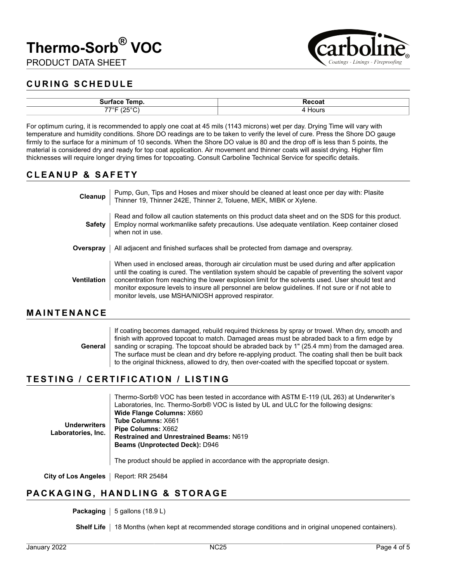

PRODUCT DATA SHEET

## **CURING SCHEDULE**

| Temp.<br>----<br>эипасе      | Recoat |
|------------------------------|--------|
| $-\circ$ $\sim$<br>7700<br>. | Hours  |

For optimum curing, it is recommended to apply one coat at 45 mils (1143 microns) wet per day. Drying Time will vary with temperature and humidity conditions. Shore DO readings are to be taken to verify the level of cure. Press the Shore DO gauge firmly to the surface for a minimum of 10 seconds. When the Shore DO value is 80 and the drop off is less than 5 points, the material is considered dry and ready for top coat application. Air movement and thinner coats will assist drying. Higher film thicknesses will require longer drying times for topcoating. Consult Carboline Technical Service for specific details.

## **CLEANUP & SAFETY**

| Cleanup            | Pump, Gun, Tips and Hoses and mixer should be cleaned at least once per day with: Plasite<br>Thinner 19, Thinner 242E, Thinner 2, Toluene, MEK, MIBK or Xylene.                                                                                                                                                                                                                                                                                                            |
|--------------------|----------------------------------------------------------------------------------------------------------------------------------------------------------------------------------------------------------------------------------------------------------------------------------------------------------------------------------------------------------------------------------------------------------------------------------------------------------------------------|
| <b>Safety</b>      | Read and follow all caution statements on this product data sheet and on the SDS for this product.<br>Employ normal workmanlike safety precautions. Use adequate ventilation. Keep container closed<br>when not in use.                                                                                                                                                                                                                                                    |
| Overspray          | All adjacent and finished surfaces shall be protected from damage and overspray.                                                                                                                                                                                                                                                                                                                                                                                           |
| <b>Ventilation</b> | When used in enclosed areas, thorough air circulation must be used during and after application<br>until the coating is cured. The ventilation system should be capable of preventing the solvent vapor<br>concentration from reaching the lower explosion limit for the solvents used. User should test and<br>monitor exposure levels to insure all personnel are below guidelines. If not sure or if not able to<br>monitor levels, use MSHA/NIOSH approved respirator. |

#### **MAINTENANCE**

**General** If coating becomes damaged, rebuild required thickness by spray or trowel. When dry, smooth and finish with approved topcoat to match. Damaged areas must be abraded back to a firm edge by sanding or scraping. The topcoat should be abraded back by 1" (25.4 mm) from the damaged area. The surface must be clean and dry before re-applying product. The coating shall then be built back to the original thickness, allowed to dry, then over-coated with the specified topcoat or system.

## **TESTING / CERTIFICATION / LISTING**

| <b>Underwriters</b><br>Laboratories, Inc. | Thermo-Sorb® VOC has been tested in accordance with ASTM E-119 (UL 263) at Underwriter's<br>Laboratories, Inc. Thermo-Sorb® VOC is listed by UL and ULC for the following designs:<br><b>Wide Flange Columns: X660</b><br><b>Tube Columns: X661</b><br>Pipe Columns: X662<br><b>Restrained and Unrestrained Beams: N619</b><br><b>Beams (Unprotected Deck): D946</b> |
|-------------------------------------------|----------------------------------------------------------------------------------------------------------------------------------------------------------------------------------------------------------------------------------------------------------------------------------------------------------------------------------------------------------------------|
|                                           | The product should be applied in accordance with the appropriate design.                                                                                                                                                                                                                                                                                             |

**City of Los Angeles** | Report: RR 25484

## **PACKAGING, HANDLING & STORAGE**

**Packaging**  $\vert 5$  gallons (18.9 L)

**Shelf Life** | 18 Months (when kept at recommended storage conditions and in original unopened containers).